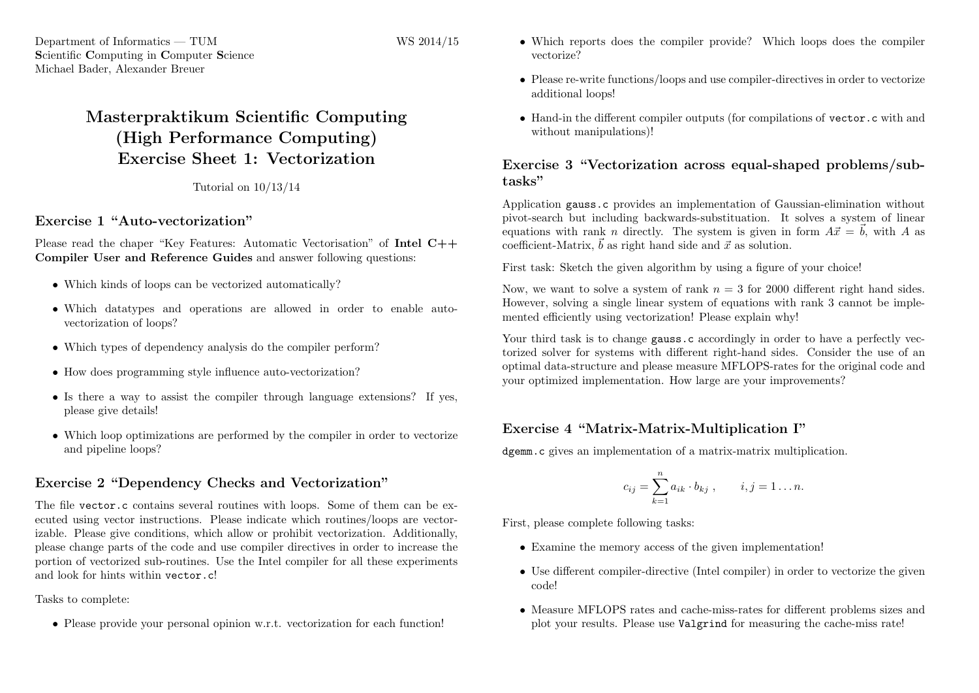Department of Informatics — TUM Scientific Computing in Computer Science Michael Bader, Alexander Breuer

# Masterpraktikum Scientific Computing (High Performance Computing) Exercise Sheet 1: Vectorization

Tutorial on 10/13/14

#### Exercise 1 "Auto-vectorization"

Please read the chaper "Key Features: Automatic Vectorisation" of Intel C++ Compiler User and Reference Guides and answer following questions:

- Which kinds of loops can be vectorized automatically?
- Which datatypes and operations are allowed in order to enable autovectorization of loops?
- Which types of dependency analysis do the compiler perform?
- How does programming style influence auto-vectorization?
- Is there a way to assist the compiler through language extensions? If yes, please give details!
- Which loop optimizations are performed by the compiler in order to vectorize and pipeline loops?

### Exercise 2 "Dependency Checks and Vectorization"

The file vector.c contains several routines with loops. Some of them can be executed using vector instructions. Please indicate which routines/loops are vectorizable. Please give conditions, which allow or prohibit vectorization. Additionally, please change parts of the code and use compiler directives in order to increase the portion of vectorized sub-routines. Use the Intel compiler for all these experiments and look for hints within vector.c!

Tasks to complete:

• Please provide your personal opinion w.r.t. vectorization for each function!

- Which reports does the compiler provide? Which loops does the compiler vectorize?
- Please re-write functions/loops and use compiler-directives in order to vectorize additional loops!
- Hand-in the different compiler outputs (for compilations of vector.c with and without manipulations)!

## Exercise 3 "Vectorization across equal-shaped problems/subtasks"

Application gauss.c provides an implementation of Gaussian-elimination without pivot-search but including backwards-substituation. It solves a system of linear equations with rank n directly. The system is given in form  $A\vec{x} = \vec{b}$ , with A as coefficient-Matrix,  $\vec{b}$  as right hand side and  $\vec{x}$  as solution.

First task: Sketch the given algorithm by using a figure of your choice!

Now, we want to solve a system of rank  $n = 3$  for 2000 different right hand sides. However, solving a single linear system of equations with rank 3 cannot be implemented efficiently using vectorization! Please explain why!

Your third task is to change gauss.c accordingly in order to have a perfectly vectorized solver for systems with different right-hand sides. Consider the use of an optimal data-structure and please measure MFLOPS-rates for the original code and your optimized implementation. How large are your improvements?

## Exercise 4 "Matrix-Matrix-Multiplication I"

dgemm.c gives an implementation of a matrix-matrix multiplication.

$$
c_{ij} = \sum_{k=1}^{n} a_{ik} \cdot b_{kj}, \qquad i, j = 1...n.
$$

First, please complete following tasks:

- Examine the memory access of the given implementation!
- Use different compiler-directive (Intel compiler) in order to vectorize the given code!
- Measure MFLOPS rates and cache-miss-rates for different problems sizes and plot your results. Please use Valgrind for measuring the cache-miss rate!

WS 2014/15